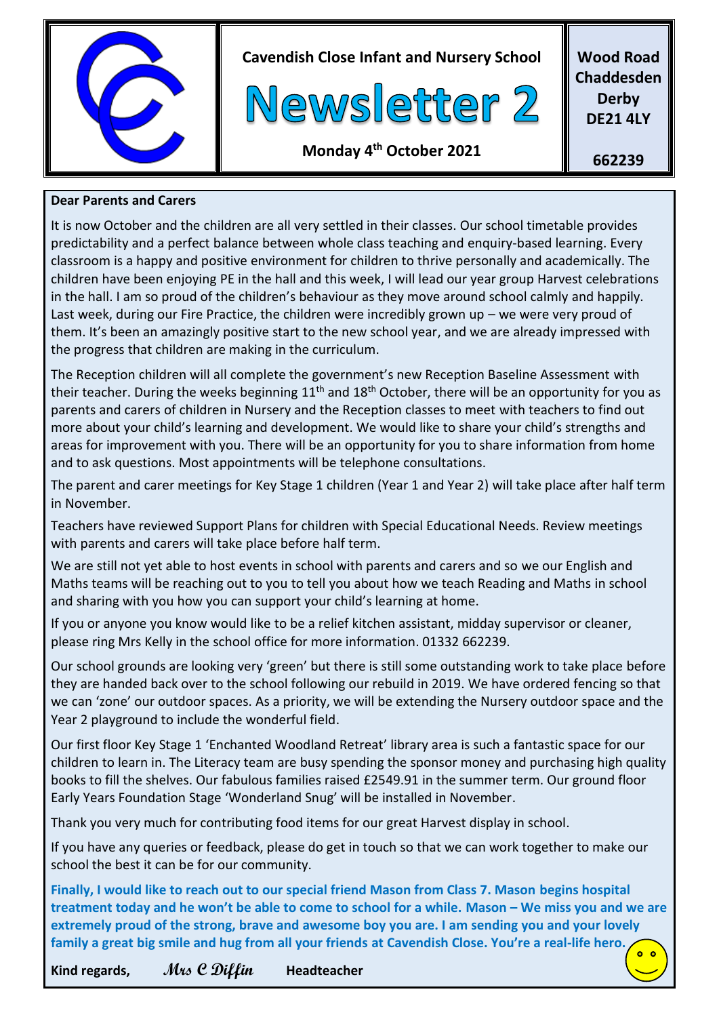

**Cavendish Close Infant and Nursery School**



**Wood Road Chaddesden Derby DE21 4LY**

#### **Monday 4 th October 2021**

**662239**

#### **Dear Parents and Carers**

It is now October and the children are all very settled in their classes. Our school timetable provides predictability and a perfect balance between whole class teaching and enquiry-based learning. Every classroom is a happy and positive environment for children to thrive personally and academically. The children have been enjoying PE in the hall and this week, I will lead our year group Harvest celebrations in the hall. I am so proud of the children's behaviour as they move around school calmly and happily. Last week, during our Fire Practice, the children were incredibly grown up – we were very proud of them. It's been an amazingly positive start to the new school year, and we are already impressed with the progress that children are making in the curriculum.

The Reception children will all complete the government's new Reception Baseline Assessment with their teacher. During the weeks beginning  $11<sup>th</sup>$  and  $18<sup>th</sup>$  October, there will be an opportunity for you as parents and carers of children in Nursery and the Reception classes to meet with teachers to find out more about your child's learning and development. We would like to share your child's strengths and areas for improvement with you. There will be an opportunity for you to share information from home and to ask questions. Most appointments will be telephone consultations.

The parent and carer meetings for Key Stage 1 children (Year 1 and Year 2) will take place after half term in November.

Teachers have reviewed Support Plans for children with Special Educational Needs. Review meetings with parents and carers will take place before half term.

We are still not yet able to host events in school with parents and carers and so we our English and Maths teams will be reaching out to you to tell you about how we teach Reading and Maths in school and sharing with you how you can support your child's learning at home.

If you or anyone you know would like to be a relief kitchen assistant, midday supervisor or cleaner, please ring Mrs Kelly in the school office for more information. 01332 662239.

Our school grounds are looking very 'green' but there is still some outstanding work to take place before they are handed back over to the school following our rebuild in 2019. We have ordered fencing so that we can 'zone' our outdoor spaces. As a priority, we will be extending the Nursery outdoor space and the Year 2 playground to include the wonderful field.

Our first floor Key Stage 1 'Enchanted Woodland Retreat' library area is such a fantastic space for our children to learn in. The Literacy team are busy spending the sponsor money and purchasing high quality books to fill the shelves. Our fabulous families raised £2549.91 in the summer term. Our ground floor Early Years Foundation Stage 'Wonderland Snug' will be installed in November.

Thank you very much for contributing food items for our great Harvest display in school.

If you have any queries or feedback, please do get in touch so that we can work together to make our school the best it can be for our community.

**Finally, I would like to reach out to our special friend Mason from Class 7. Mason begins hospital treatment today and he won't be able to come to school for a while. Mason – We miss you and we are extremely proud of the strong, brave and awesome boy you are. I am sending you and your lovely family a great big smile and hug from all your friends at Cavendish Close. You're a real-life hero.**  $0<sub>o</sub>$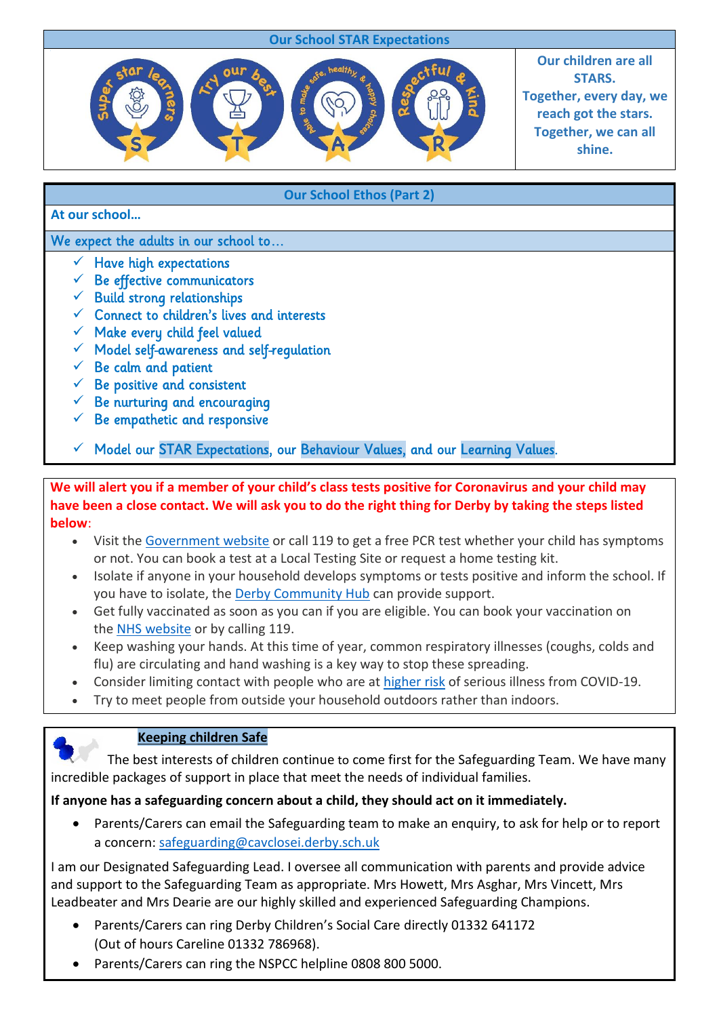### **Our School STAR Expectations**

**Our School Ethos (Part 2)**



**Our children are all STARS. Together, every day, we reach got the stars. Together, we can all shine.**

#### **At our school…**

We expect the adults in our school to...

- $\checkmark$  Have high expectations
- $\checkmark$  Be effective communicators
- $\checkmark$  Build strong relationships
- $\checkmark$  Connect to children's lives and interests
- $\checkmark$  Make every child feel valued
- $\checkmark$  Model self-awareness and self-regulation
- $\checkmark$  Be calm and patient
- $\checkmark$  Be positive and consistent
- $\checkmark$  Be nurturing and encouraging
- $\checkmark$  Be empathetic and responsive
- Model our STAR Expectations, our Behaviour Values, and our Learning Values.

**We will alert you if a member of your child's class tests positive for Coronavirus and your child may have been a close contact. We will ask you to do the right thing for Derby by taking the steps listed below**:

- Visit the [Government](https://www.gov.uk/get-coronavirus-test) website or call 119 to get a free PCR test whether your child has symptoms or not. You can book a test at a Local Testing Site or request a home testing kit.
- Isolate if anyone in your household develops symptoms or tests positive and inform the school. If you have to isolate, the Derby [Community](https://derby.gov.uk/coronavirus-covid19/financial-community-support-residents/track-trace-support-payments/) Hub can provide support.
- Get fully vaccinated as soon as you can if you are eligible. You can book your vaccination on the NHS [website](https://www.nhs.uk/conditions/coronavirus-covid-19/coronavirus-vaccination/book-coronavirus-vaccination/) or by calling 119.
- Keep washing your hands. At this time of year, common respiratory illnesses (coughs, colds and flu) are circulating and hand washing is a key way to stop these spreading.
- Consider limiting contact with people who are at [higher](https://www.nhs.uk/conditions/coronavirus-covid-19/people-at-higher-risk/) risk of serious illness from COVID-19.
- Try to meet people from outside your household outdoors rather than indoors.



#### **Keeping children Safe**

 The best interests of children continue to come first for the Safeguarding Team. We have many incredible packages of support in place that meet the needs of individual families.

#### **If anyone has a safeguarding concern about a child, they should act on it immediately.**

 Parents/Carers can email the Safeguarding team to make an enquiry, to ask for help or to report a concern: [safeguarding@cavclosei.derby.sch.uk](mailto:safeguarding@cavclosei.derby.sch.uk)

I am our Designated Safeguarding Lead. I oversee all communication with parents and provide advice and support to the Safeguarding Team as appropriate. Mrs Howett, Mrs Asghar, Mrs Vincett, Mrs Leadbeater and Mrs Dearie are our highly skilled and experienced Safeguarding Champions.

- Parents/Carers can ring Derby Children's Social Care directly 01332 641172 (Out of hours Careline 01332 786968).
- Parents/Carers can ring the NSPCC helpline 0808 800 5000.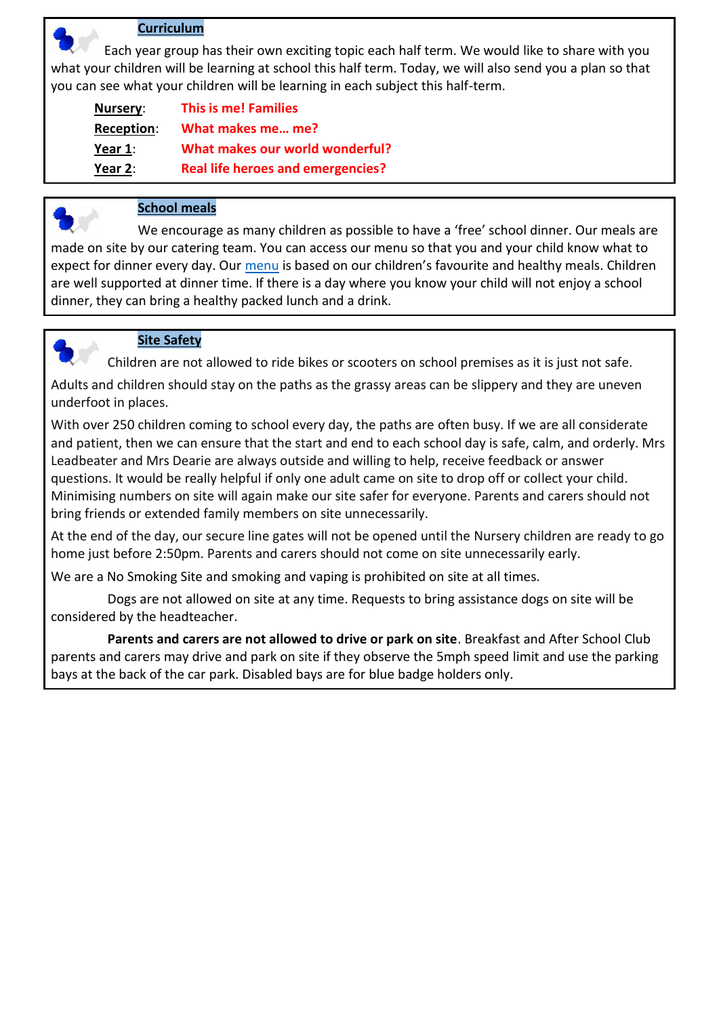#### **Curriculum**

 Each year group has their own exciting topic each half term. We would like to share with you what your children will be learning at school this half term. Today, we will also send you a plan so that you can see what your children will be learning in each subject this half-term.

| Nursery:       | <b>This is me! Families</b>              |
|----------------|------------------------------------------|
| Reception:     | What makes me me?                        |
| Year 1:        | <b>What makes our world wonderful?</b>   |
| <u>Year</u> 2: | <b>Real life heroes and emergencies?</b> |



#### **School meals**

We encourage as many children as possible to have a 'free' school dinner. Our meals are made on site by our catering team. You can access our menu so that you and your child know what to expect for dinner every day. Our [menu](file:///C:/Users/carrie.manners/Downloads/Menu-03.09.21-onwards-1.pdf) is based on our children's favourite and healthy meals. Children are well supported at dinner time. If there is a day where you know your child will not enjoy a school dinner, they can bring a healthy packed lunch and a drink.



#### **Site Safety**

Children are not allowed to ride bikes or scooters on school premises as it is just not safe.

Adults and children should stay on the paths as the grassy areas can be slippery and they are uneven underfoot in places.

With over 250 children coming to school every day, the paths are often busy. If we are all considerate and patient, then we can ensure that the start and end to each school day is safe, calm, and orderly. Mrs Leadbeater and Mrs Dearie are always outside and willing to help, receive feedback or answer questions. It would be really helpful if only one adult came on site to drop off or collect your child. Minimising numbers on site will again make our site safer for everyone. Parents and carers should not bring friends or extended family members on site unnecessarily.

At the end of the day, our secure line gates will not be opened until the Nursery children are ready to go home just before 2:50pm. Parents and carers should not come on site unnecessarily early.

We are a No Smoking Site and smoking and vaping is prohibited on site at all times.

 Dogs are not allowed on site at any time. Requests to bring assistance dogs on site will be considered by the headteacher.

 **Parents and carers are not allowed to drive or park on site**. Breakfast and After School Club parents and carers may drive and park on site if they observe the 5mph speed limit and use the parking bays at the back of the car park. Disabled bays are for blue badge holders only.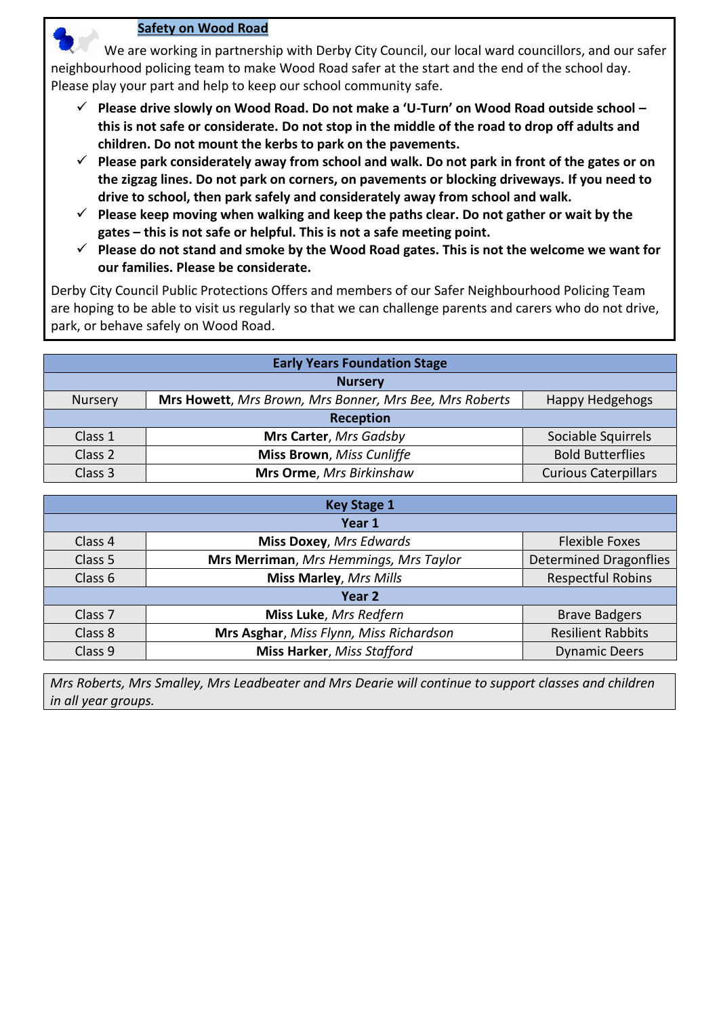#### **Safety on Wood Road**

 We are working in partnership with Derby City Council, our local ward councillors, and our safer neighbourhood policing team to make Wood Road safer at the start and the end of the school day. Please play your part and help to keep our school community safe.

- **Please drive slowly on Wood Road. Do not make a 'U-Turn' on Wood Road outside school – this is not safe or considerate. Do not stop in the middle of the road to drop off adults and children. Do not mount the kerbs to park on the pavements.**
- **Please park considerately away from school and walk. Do not park in front of the gates or on the zigzag lines. Do not park on corners, on pavements or blocking driveways. If you need to drive to school, then park safely and considerately away from school and walk.**
- **Please keep moving when walking and keep the paths clear. Do not gather or wait by the gates – this is not safe or helpful. This is not a safe meeting point.**
- **Please do not stand and smoke by the Wood Road gates. This is not the welcome we want for our families. Please be considerate.**

Derby City Council Public Protections Offers and members of our Safer Neighbourhood Policing Team are hoping to be able to visit us regularly so that we can challenge parents and carers who do not drive, park, or behave safely on Wood Road.

| <b>Early Years Foundation Stage</b> |                                                         |                             |
|-------------------------------------|---------------------------------------------------------|-----------------------------|
| <b>Nursery</b>                      |                                                         |                             |
| <b>Nursery</b>                      | Mrs Howett, Mrs Brown, Mrs Bonner, Mrs Bee, Mrs Roberts | Happy Hedgehogs             |
| <b>Reception</b>                    |                                                         |                             |
| Class 1                             | Mrs Carter, Mrs Gadsby                                  | Sociable Squirrels          |
| Class 2                             | <b>Miss Brown</b> , Miss Cunliffe                       | <b>Bold Butterflies</b>     |
| Class 3                             | Mrs Orme, Mrs Birkinshaw                                | <b>Curious Caterpillars</b> |

| <b>Key Stage 1</b> |                                         |                               |
|--------------------|-----------------------------------------|-------------------------------|
| Year 1             |                                         |                               |
| Class 4            | <b>Miss Doxey, Mrs Edwards</b>          | <b>Flexible Foxes</b>         |
| Class 5            | Mrs Merriman, Mrs Hemmings, Mrs Taylor  | <b>Determined Dragonflies</b> |
| Class 6            | <b>Miss Marley, Mrs Mills</b>           | <b>Respectful Robins</b>      |
| Year 2             |                                         |                               |
| Class <sub>7</sub> | Miss Luke, Mrs Redfern                  | <b>Brave Badgers</b>          |
| Class 8            | Mrs Asghar, Miss Flynn, Miss Richardson | <b>Resilient Rabbits</b>      |
| Class 9            | <b>Miss Harker, Miss Stafford</b>       | <b>Dynamic Deers</b>          |

*Mrs Roberts, Mrs Smalley, Mrs Leadbeater and Mrs Dearie will continue to support classes and children in all year groups.*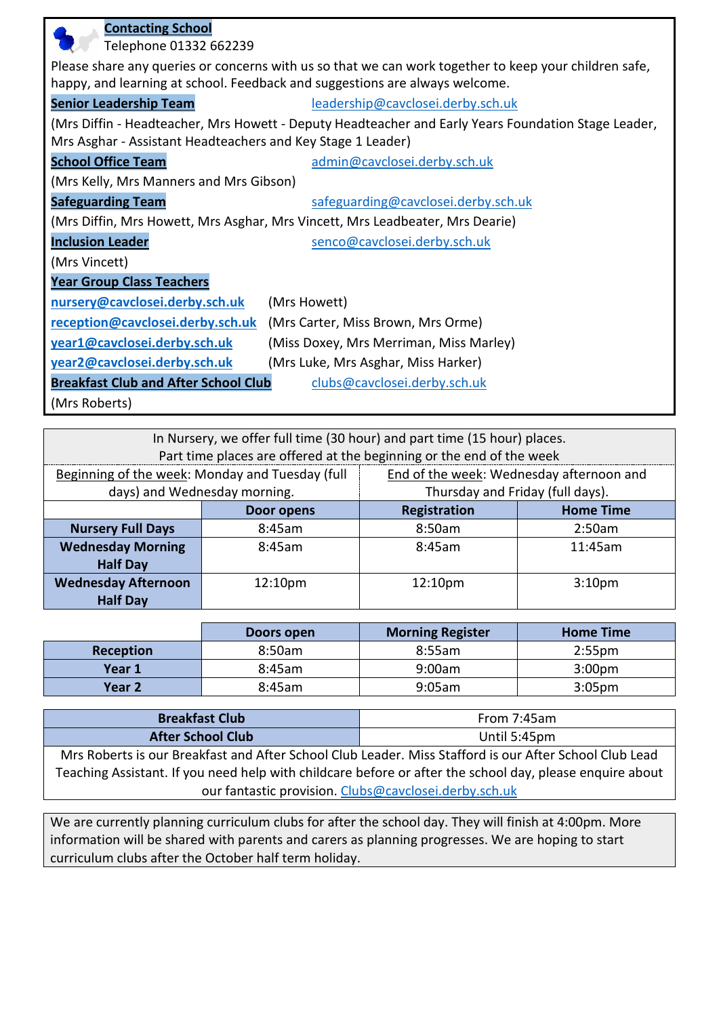| <b>Contacting School</b>                                    |                                                                                                       |
|-------------------------------------------------------------|-------------------------------------------------------------------------------------------------------|
| Telephone 01332 662239                                      |                                                                                                       |
|                                                             | Please share any queries or concerns with us so that we can work together to keep your children safe, |
|                                                             | happy, and learning at school. Feedback and suggestions are always welcome.                           |
| <b>Senior Leadership Team</b>                               | leadership@cavclosei.derby.sch.uk                                                                     |
|                                                             | (Mrs Diffin - Headteacher, Mrs Howett - Deputy Headteacher and Early Years Foundation Stage Leader,   |
| Mrs Asghar - Assistant Headteachers and Key Stage 1 Leader) |                                                                                                       |
| <b>School Office Team</b>                                   | admin@cavclosei.derby.sch.uk                                                                          |
| (Mrs Kelly, Mrs Manners and Mrs Gibson)                     |                                                                                                       |
| <b>Safeguarding Team</b>                                    | safeguarding@cavclosei.derby.sch.uk                                                                   |
|                                                             | (Mrs Diffin, Mrs Howett, Mrs Asghar, Mrs Vincett, Mrs Leadbeater, Mrs Dearie)                         |
| <b>Inclusion Leader</b>                                     | senco@cavclosei.derby.sch.uk                                                                          |
| (Mrs Vincett)                                               |                                                                                                       |
| <b>Year Group Class Teachers</b>                            |                                                                                                       |
| nursery@cavclosei.derby.sch.uk                              | (Mrs Howett)                                                                                          |
| reception@cavclosei.derby.sch.uk                            | (Mrs Carter, Miss Brown, Mrs Orme)                                                                    |
| year1@cavclosei.derby.sch.uk                                | (Miss Doxey, Mrs Merriman, Miss Marley)                                                               |
| year2@cavclosei.derby.sch.uk                                | (Mrs Luke, Mrs Asghar, Miss Harker)                                                                   |
| <b>Breakfast Club and After School Club</b>                 | clubs@cavclosei.derby.sch.uk                                                                          |
| (Mrs Roberts)                                               |                                                                                                       |

| In Nursery, we offer full time (30 hour) and part time (15 hour) places. |                     |                                          |                    |
|--------------------------------------------------------------------------|---------------------|------------------------------------------|--------------------|
| Part time places are offered at the beginning or the end of the week     |                     |                                          |                    |
| Beginning of the week: Monday and Tuesday (full                          |                     | End of the week: Wednesday afternoon and |                    |
| days) and Wednesday morning.                                             |                     | Thursday and Friday (full days).         |                    |
|                                                                          | <b>Door opens</b>   | Registration                             | <b>Home Time</b>   |
| <b>Nursery Full Days</b>                                                 | 8:45am              | 8:50am                                   | 2:50am             |
| <b>Wednesday Morning</b>                                                 | 8:45am              | 8:45am                                   | 11:45am            |
| <b>Half Day</b>                                                          |                     |                                          |                    |
| <b>Wednesday Afternoon</b>                                               | 12:10 <sub>pm</sub> | 12:10pm                                  | 3:10 <sub>pm</sub> |
| <b>Half Day</b>                                                          |                     |                                          |                    |

|           | Doors open | <b>Morning Register</b> | <b>Home Time</b>   |
|-----------|------------|-------------------------|--------------------|
| Reception | 8:50am     | 8:55am                  | $2:55$ pm          |
| Year 1    | 8:45am     | 9:00am                  | 3:00 <sub>pm</sub> |
| Year 2    | 8:45am     | 9:05am                  | 3:05 <sub>pm</sub> |

| <b>Breakfast Club</b>                                                                                    | From 7:45am  |  |
|----------------------------------------------------------------------------------------------------------|--------------|--|
| <b>After School Club</b>                                                                                 | Until 5:45pm |  |
| Mrs Roberts is our Breakfast and After School Club Leader. Miss Stafford is our After School Club Lead   |              |  |
| Teaching Assistant. If you need help with childcare before or after the school day, please enquire about |              |  |
| our fantastic provision. Clubs@cavclosei.derby.sch.uk                                                    |              |  |

We are currently planning curriculum clubs for after the school day. They will finish at 4:00pm. More information will be shared with parents and carers as planning progresses. We are hoping to start curriculum clubs after the October half term holiday.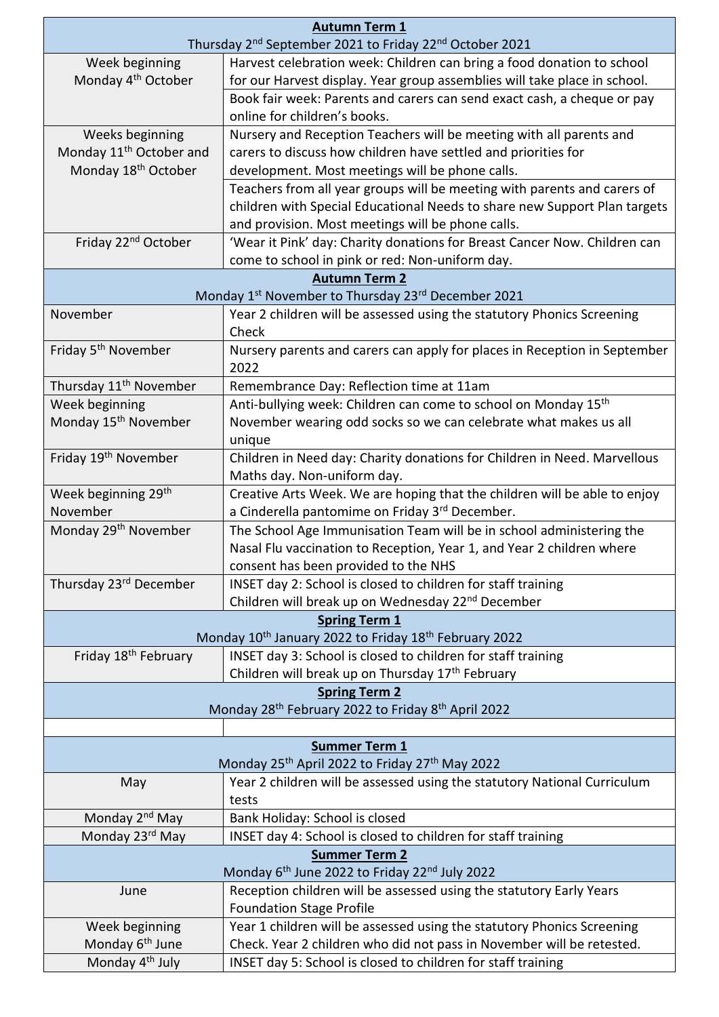| <b>Autumn Term 1</b><br>Thursday 2 <sup>nd</sup> September 2021 to Friday 22 <sup>nd</sup> October 2021 |                                                                                   |  |
|---------------------------------------------------------------------------------------------------------|-----------------------------------------------------------------------------------|--|
| Week beginning                                                                                          | Harvest celebration week: Children can bring a food donation to school            |  |
| Monday 4 <sup>th</sup> October                                                                          | for our Harvest display. Year group assemblies will take place in school.         |  |
|                                                                                                         | Book fair week: Parents and carers can send exact cash, a cheque or pay           |  |
|                                                                                                         | online for children's books.                                                      |  |
| Weeks beginning                                                                                         | Nursery and Reception Teachers will be meeting with all parents and               |  |
| Monday 11 <sup>th</sup> October and                                                                     | carers to discuss how children have settled and priorities for                    |  |
| Monday 18 <sup>th</sup> October                                                                         | development. Most meetings will be phone calls.                                   |  |
|                                                                                                         | Teachers from all year groups will be meeting with parents and carers of          |  |
|                                                                                                         | children with Special Educational Needs to share new Support Plan targets         |  |
|                                                                                                         | and provision. Most meetings will be phone calls.                                 |  |
| Friday 22 <sup>nd</sup> October                                                                         | 'Wear it Pink' day: Charity donations for Breast Cancer Now. Children can         |  |
|                                                                                                         | come to school in pink or red: Non-uniform day.                                   |  |
|                                                                                                         | <b>Autumn Term 2</b>                                                              |  |
|                                                                                                         | Monday 1 <sup>st</sup> November to Thursday 23 <sup>rd</sup> December 2021        |  |
| November                                                                                                | Year 2 children will be assessed using the statutory Phonics Screening<br>Check   |  |
| Friday 5 <sup>th</sup> November                                                                         | Nursery parents and carers can apply for places in Reception in September<br>2022 |  |
| Thursday 11 <sup>th</sup> November                                                                      | Remembrance Day: Reflection time at 11am                                          |  |
| Week beginning                                                                                          | Anti-bullying week: Children can come to school on Monday 15 <sup>th</sup>        |  |
| Monday 15 <sup>th</sup> November                                                                        | November wearing odd socks so we can celebrate what makes us all                  |  |
|                                                                                                         | unique                                                                            |  |
| Friday 19 <sup>th</sup> November                                                                        | Children in Need day: Charity donations for Children in Need. Marvellous          |  |
|                                                                                                         | Maths day. Non-uniform day.                                                       |  |
| Week beginning 29 <sup>th</sup>                                                                         | Creative Arts Week. We are hoping that the children will be able to enjoy         |  |
| November                                                                                                | a Cinderella pantomime on Friday 3rd December.                                    |  |
| Monday 29 <sup>th</sup> November                                                                        | The School Age Immunisation Team will be in school administering the              |  |
|                                                                                                         | Nasal Flu vaccination to Reception, Year 1, and Year 2 children where             |  |
|                                                                                                         | consent has been provided to the NHS                                              |  |
| Thursday 23 <sup>rd</sup> December                                                                      | INSET day 2: School is closed to children for staff training                      |  |
|                                                                                                         | Children will break up on Wednesday 22 <sup>nd</sup> December                     |  |
| <b>Spring Term 1</b><br>Monday 10 <sup>th</sup> January 2022 to Friday 18 <sup>th</sup> February 2022   |                                                                                   |  |
| Friday 18 <sup>th</sup> February                                                                        | INSET day 3: School is closed to children for staff training                      |  |
|                                                                                                         | Children will break up on Thursday 17 <sup>th</sup> February                      |  |
| <b>Spring Term 2</b>                                                                                    |                                                                                   |  |
|                                                                                                         | Monday 28 <sup>th</sup> February 2022 to Friday 8 <sup>th</sup> April 2022        |  |
| <b>Summer Term 1</b>                                                                                    |                                                                                   |  |
| Monday 25 <sup>th</sup> April 2022 to Friday 27 <sup>th</sup> May 2022                                  |                                                                                   |  |
| May                                                                                                     | Year 2 children will be assessed using the statutory National Curriculum          |  |
|                                                                                                         | tests                                                                             |  |
| Monday 2 <sup>nd</sup> May                                                                              | Bank Holiday: School is closed                                                    |  |
| Monday 23rd May                                                                                         | INSET day 4: School is closed to children for staff training                      |  |
|                                                                                                         | <b>Summer Term 2</b>                                                              |  |
| Monday 6 <sup>th</sup> June 2022 to Friday 22 <sup>nd</sup> July 2022                                   |                                                                                   |  |
| June                                                                                                    | Reception children will be assessed using the statutory Early Years               |  |
|                                                                                                         | <b>Foundation Stage Profile</b>                                                   |  |
| Week beginning                                                                                          | Year 1 children will be assessed using the statutory Phonics Screening            |  |
| Monday 6 <sup>th</sup> June                                                                             | Check. Year 2 children who did not pass in November will be retested.             |  |
| Monday 4 <sup>th</sup> July                                                                             | INSET day 5: School is closed to children for staff training                      |  |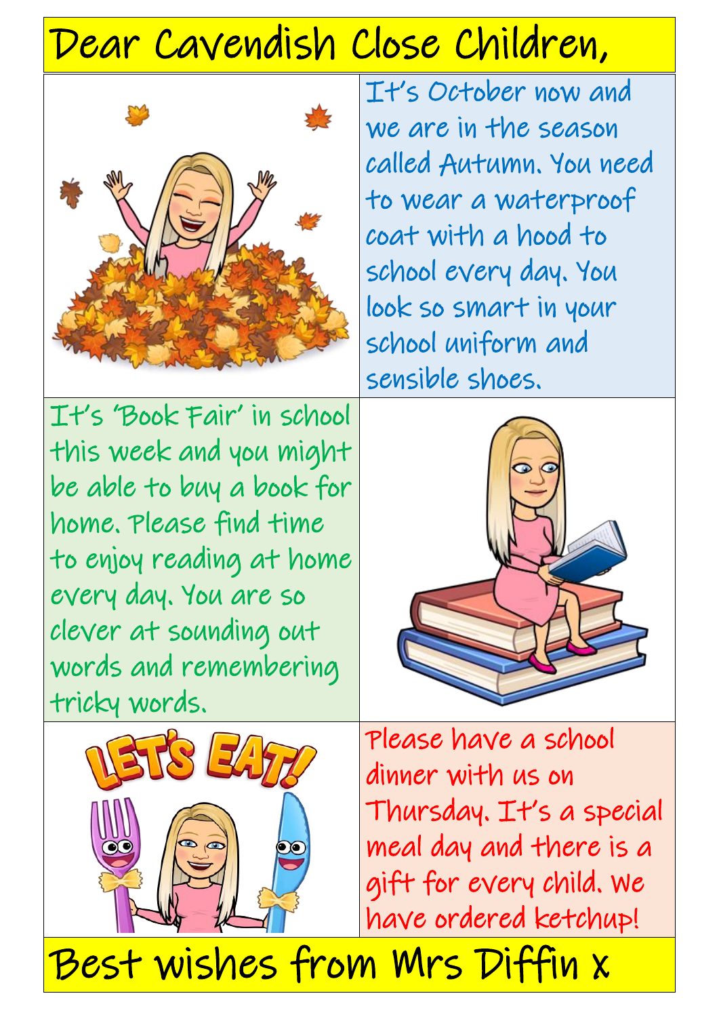# Dear Cavendish Close Children,



It's October now and we are in the season called Autumn. You need to wear a waterproof coat with a hood to school every day. You look so smart in your school uniform and sensible shoes.

It's 'Book Fair' in school this week and you might be able to buy a book for home. Please find time to enjoy reading at home every day. You are so clever at sounding out words and remembering tricky words.





Please have a school dinner with us on Thursday. It's a special meal day and there is a gift for every child. We have ordered ketchup!

Best wishes from Mrs Diffin x